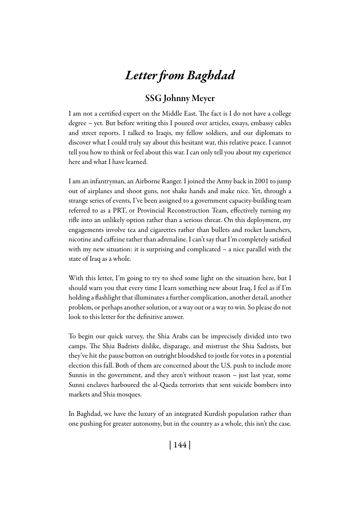# *Letter from Baghdad*

## SSG Johnny Meyer

I am not a certified expert on the Middle East. The fact is I do not have a college degree – yet. But before writing this I poured over articles, essays, embassy cables and street reports. I talked to Iraqis, my fellow soldiers, and our diplomats to discover what I could truly say about this hesitant war, this relative peace. I cannot tell you how to think or feel about this war. I can only tell you about my experience here and what I have learned.

I am an infantryman, an Airborne Ranger. I joined the Army back in 2001 to jump out of airplanes and shoot guns, not shake hands and make nice. Yet, through a strange series of events, I've been assigned to a government capacity-building team referred to as a PRT, or Provincial Reconstruction Team, effectively turning my rifle into an unlikely option rather than a serious threat. On this deployment, my engagements involve tea and cigarettes rather than bullets and rocket launchers, nicotine and caffeine rather than adrenaline. I can't say that I'm completely satisfied with my new situation: it is surprising and complicated – a nice parallel with the state of Iraq as a whole.

With this letter, I'm going to try to shed some light on the situation here, but I should warn you that every time I learn something new about Iraq, I feel as if I'm holding a flashlight that illuminates a further complication, another detail, another problem, or perhaps another solution, or a way out or a way to win. So please do not look to this letter for the definitive answer.

To begin our quick survey, the Shia Arabs can be imprecisely divided into two camps. The Shia Badrists dislike, disparage, and mistrust the Shia Sadrists, but they've hit the pause button on outright bloodshed to jostle for votes in a potential election this fall. Both of them are concerned about the U.S. push to include more Sunnis in the government, and they aren't without reason – just last year, some Sunni enclaves harboured the al-Qaeda terrorists that sent suicide bombers into markets and Shia mosques.

In Baghdad, we have the luxury of an integrated Kurdish population rather than one pushing for greater autonomy, but in the country as a whole, this isn't the case.

| 144 |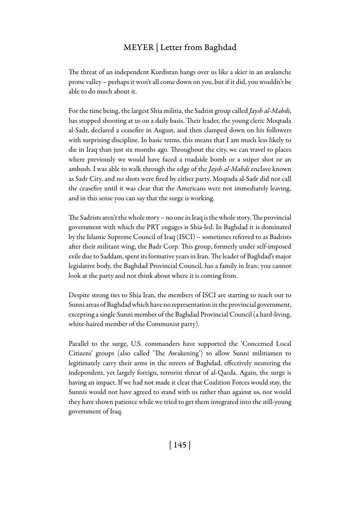### Meyer | Letter from Baghdad

The threat of an independent Kurdistan hangs over us like a skier in an avalanche prone valley – perhaps it won't all come down on you, but if it did, you wouldn't be able to do much about it.

For the time being, the largest Shia militia, the Sadrist group called *Jaysh al-Mahdi*, has stopped shooting at us on a daily basis. Their leader, the young cleric Moqtada al-Sadr, declared a ceasefire in August, and then clamped down on his followers with surprising discipline. In basic terms, this means that I am much less likely to die in Iraq than just six months ago. Throughout the city, we can travel to places where previously we would have faced a roadside bomb or a sniper shot or an ambush. I was able to walk through the edge of the *Jaysh al-Mahdi* enclave known as Sadr City, and no shots were fired by either party. Moqtada al-Sadr did not call the ceasefire until it was clear that the Americans were not immediately leaving, and in this sense you can say that the surge is working.

The Sadrists aren't the whole story – no one in Iraq is the whole story. The provincial government with which the PRT engages is Shia-led. In Baghdad it is dominated by the Islamic Supreme Council of Iraq (ISCI) – sometimes referred to as Badrists after their militant wing, the Badr Corp. This group, formerly under self-imposed exile due to Saddam, spent its formative years in Iran. The leader of Baghdad's major legislative body, the Baghdad Provincial Council, has a family in Iran; you cannot look at the party and not think about where it is coming from.

Despite strong ties to Shia Iran, the members of ISCI are starting to reach out to Sunni areas of Baghdad which have no representation in the provincial government, excepting a single Sunni member of the Baghdad Provincial Council (a hard-living, white-haired member of the Communist party).

Parallel to the surge, U.S. commanders have supported the 'Concerned Local Citizens' groups (also called 'The Awakening') to allow Sunni militiamen to legitimately carry their arms in the streets of Baghdad, effectively neutering the independent, yet largely foreign, terrorist threat of al-Qaeda. Again, the surge is having an impact. If we had not made it clear that Coalition Forces would stay, the Sunnis would not have agreed to stand with us rather than against us, nor would they have shown patience while we tried to get them integrated into the still-young government of Iraq.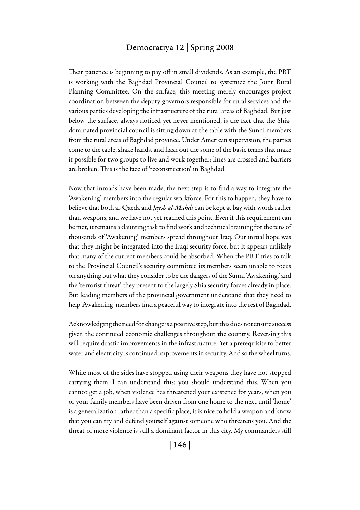#### Democratiya 12 | Spring 2008

Their patience is beginning to pay off in small dividends. As an example, the PRT is working with the Baghdad Provincial Council to systemize the Joint Rural Planning Committee. On the surface, this meeting merely encourages project coordination between the deputy governors responsible for rural services and the various parties developing the infrastructure of the rural areas of Baghdad. But just below the surface, always noticed yet never mentioned, is the fact that the Shiadominated provincial council is sitting down at the table with the Sunni members from the rural areas of Baghdad province. Under American supervision, the parties come to the table, shake hands, and hash out the some of the basic terms that make it possible for two groups to live and work together; lines are crossed and barriers are broken. This is the face of 'reconstruction' in Baghdad.

Now that inroads have been made, the next step is to find a way to integrate the 'Awakening' members into the regular workforce. For this to happen, they have to believe that both al-Qaeda and *Jaysh al-Mahdi* can be kept at bay with words rather than weapons, and we have not yet reached this point. Even if this requirement can be met, it remains a daunting task to find work and technical training for the tens of thousands of 'Awakening' members spread throughout Iraq. Our initial hope was that they might be integrated into the Iraqi security force, but it appears unlikely that many of the current members could be absorbed. When the PRT tries to talk to the Provincial Council's security committee its members seem unable to focus on anything but what they consider to be the dangers of the Sunni 'Awakening,' and the 'terrorist threat' they present to the largely Shia security forces already in place. But leading members of the provincial government understand that they need to help 'Awakening' members find a peaceful way to integrate into the rest of Baghdad.

Acknowledging the need for change is a positive step, but this does not ensure success given the continued economic challenges throughout the country. Reversing this will require drastic improvements in the infrastructure. Yet a prerequisite to better water and electricity is continued improvements in security. And so the wheel turns.

While most of the sides have stopped using their weapons they have not stopped carrying them. I can understand this; you should understand this. When you cannot get a job, when violence has threatened your existence for years, when you or your family members have been driven from one home to the next until 'home' is a generalization rather than a specific place, it is nice to hold a weapon and know that you can try and defend yourself against someone who threatens you. And the threat of more violence is still a dominant factor in this city. My commanders still

| 146 |